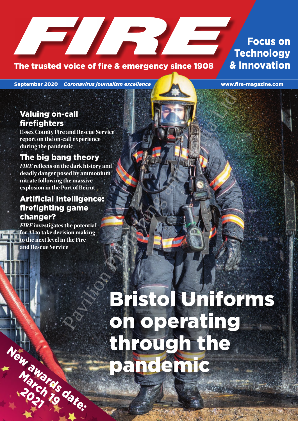## The trusted voice of fire & emergency since 1908 4 & Innovation

## Focus on **Technology**

September 2020 *Coronavirus journalism excellence* www.fire-magazine.com

## Valuing on-call firefighters

**Essex County Fire and Rescue Service report on the on-call experience during the pandemic**

## The big bang theory

*FIRE* **reflects on the dark history and deadly danger posed by ammonium nitrate following the massive explosion in the Port of Beirut**

## Artificial Intelligence: firefighting game changer?

*FIRE* **investigates the potential for AI to take decision making to the next level in the Fire and Rescue Service**

New awards date:

March ds

# Bristol Uniforms on operating through the pandemic Pavilion Publishing and Media Ltd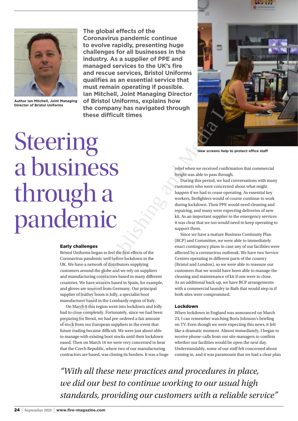



**Author Ian Mitchell, Joint Managing** 

**The global effects of the Coronavirus pandemic continue to evolve rapidly, presenting huge challenges for all businesses in the industry. As a supplier of PPE and managed services to the UK's fire and rescue services, Bristol Uniforms qualifies as an essential service that must remain operating if possible. Ian Mitchell, Joint Managing Director of Bristol Uniforms, explains how the company has navigated through these difficult times**



**New screens help to protect office staff**

## Steering a business through a pandemic Anthon Lin Mitchell, Joint Mindrey in the company of Bristol Uniforms, explains how<br>
the company has navigated through<br>
these difficult times<br>
Company has navigated through<br>
these difficult times<br>
Company has navigated thr

## Early challenges

Bristol Uniforms began to feel the first effects of the Coronavirus pandemic well before lockdown in the UK. We have a network of distributors supplying customers around the globe and we rely on suppliers and manufacturing contractors based in many different countries. We have weavers based in Spain, for example, and gloves are sourced from Germany. Our principal supplier of leather boots is Jolly, a specialist boot manufacturer based in the Lombardy region of Italy.

On March 8 this region went into lockdown and Jolly had to close completely. Fortunately, since we had been preparing for Brexit, we had pre-ordered a fair amount of stock from our European suppliers in the event that future trading became difficult. We were just about able to manage with existing boot stocks until their lockdown eased. Then on March 16 we were very concerned to hear that the Czech Republic, where two of our manufacturing contractors are based, was closing its borders. It was a huge relief when we received confirmation that commercial freight was able to pass through.

During this period, we had conversations with many customers who were concerned about what might happen if we had to cease operating. As essential key workers, firefighters would of course continue to work during lockdown. Their PPE would need cleaning and repairing, and many were expecting deliveries of new kit. As an important supplier to the emergency services it was clear that we too would need to keep operating to support them.

Since we have a mature Business Continuity Plan (BCP) and Committee, we were able to immediately enact contingency plans in case any of our facilities were affected by a coronavirus outbreak. We have two Service Centres operating in different parts of the country (Bristol and London), so we were able to reassure our customers that we would have been able to manage the cleaning and maintenance of kit if one were to close. As an additional back-up, we have BCP arrangements with a commercial laundry in Bath that would step in if both sites were compromised.

## Lockdown

When lockdown in England was announced on March 23, I can remember watching Boris Johnson's briefing on TV. Even though we were expecting this news, it felt like a dramatic moment. Almost immediately, I began to receive phone-calls from our site managers to confirm whether our facilities would be open the next day. Understandably, some of our staff felt concerned about coming in, and it was paramount that we had a clear plan

*"With all these new practices and procedures in place, we did our best to continue working to our usual high standards, providing our customers with a reliable service"*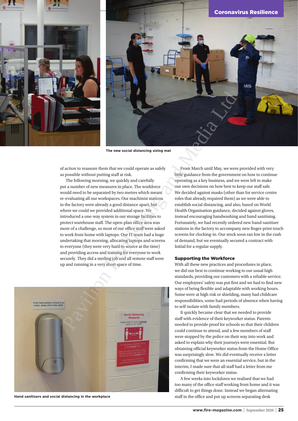



**The new social distancing sizing mat**

of action to reassure them that we could operate as safely as possible without putting staff at risk.

The following morning, we quickly and carefully put a number of new measures in place. The workforce would need to be separated by two metres which meant re-evaluating all our workspaces. Our machinist stations in the factory were already a good distance apart, but where we could we provided additional space. We introduced a one-way system in our storage facilities to protect warehouse staff. The open-plan office area was more of a challenge, so most of our office staff were asked to work from home with laptops. Our IT team had a huge undertaking that morning, allocating laptops and screens to everyone (they were very hard to source at the time) and providing access and training for everyone to work securely. They did a sterling job and all remote staff were up and running in a very short space of time. The new social distancing alternal metallic associal control of the new social distancing alternal metallic space. The controlline and metallic space is the properties of the following more properties and properties and pr

![](_page_2_Picture_5.jpeg)

**Hand sanitisers and social distancing in the workplace**

From March until May, we were provided with very little guidance from the government on how to continue operating as a key business, and we were left to make our own decisions on how best to keep our staff safe. We decided against masks (other than for service centre roles that already required them) as we were able to establish social distancing, and also, based on World Health Organisation guidance, decided against gloves, instead encouraging handwashing and hand sanitising. Fortunately, we had recently ordered new hand-sanitiser stations in the factory to accompany new finger-print touch screens for clocking-in. Our stock soon ran low in the rush of demand, but we eventually secured a contract with Initial for a regular supply.

## Supporting the Workforce

With all these new practices and procedures in place, we did our best to continue working to our usual high standards, providing our customers with a reliable service. Our employees' safety was put first and we had to find new ways of being flexible and adaptable with working hours. Some were at high risk or shielding, many had childcare responsibilities, some had periods of absence when having to self-isolate with family members.

It quickly became clear that we needed to provide staff with evidence of their keyworker status. Parents needed to provide proof for schools so that their children could continue to attend, and a few members of staff were stopped by the police on their way into work and asked to explain why their journeys were essential. But obtaining official keyworker status from the Home Office was surprisingly slow. We did eventually receive a letter confirming that we were an essential service, but in the interim, I made sure that all staff had a letter from me confirming their keyworker status.

A few weeks into lockdown we realised that we had too many of the office staff working from home and it was difficult to get things done. Instead we began alternating staff in the office and put up screens separating desk